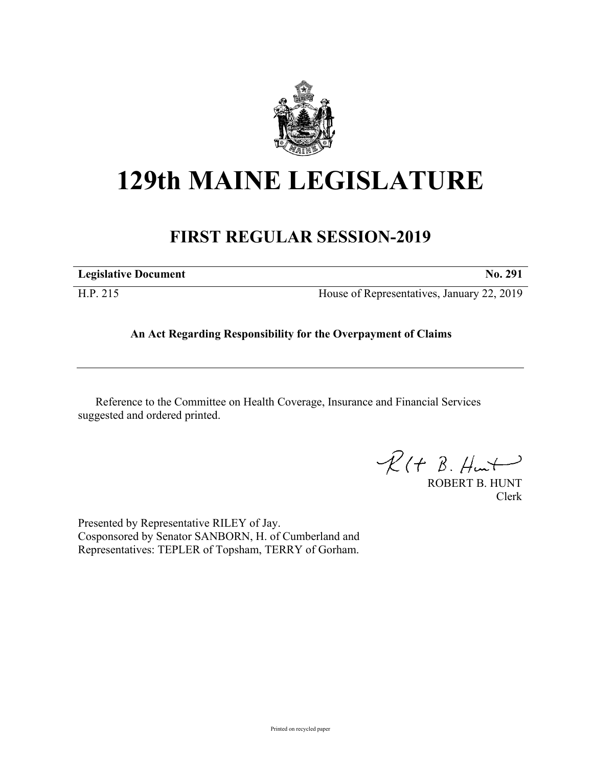

# **129th MAINE LEGISLATURE**

# **FIRST REGULAR SESSION-2019**

| <b>Legislative Document</b> | $\bf{N0.}$ |
|-----------------------------|------------|
|                             |            |

H.P. 215 House of Representatives, January 22, 2019

## **An Act Regarding Responsibility for the Overpayment of Claims**

Reference to the Committee on Health Coverage, Insurance and Financial Services suggested and ordered printed.

 $R(H B. Hmt)$ 

ROBERT B. HUNT Clerk

Presented by Representative RILEY of Jay. Cosponsored by Senator SANBORN, H. of Cumberland and Representatives: TEPLER of Topsham, TERRY of Gorham.